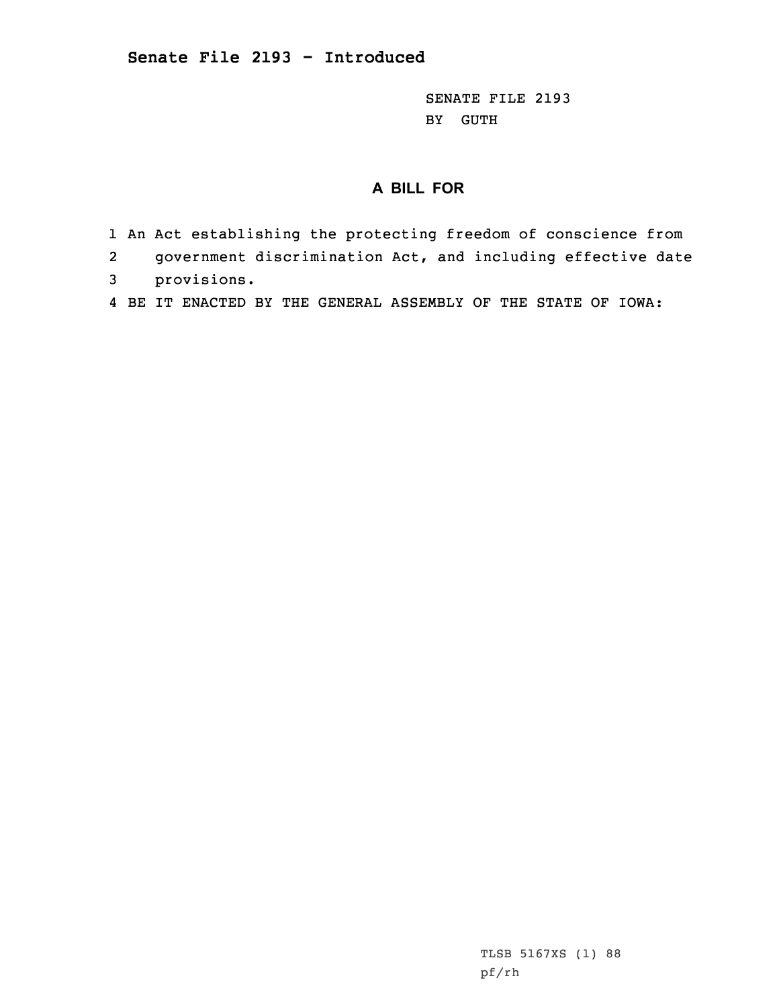SENATE FILE 2193 BY GUTH

## **A BILL FOR**

- 1 An Act establishing the protecting freedom of conscience from
- 2government discrimination Act, and including effective date
- 3 provisions.
- 4 BE IT ENACTED BY THE GENERAL ASSEMBLY OF THE STATE OF IOWA: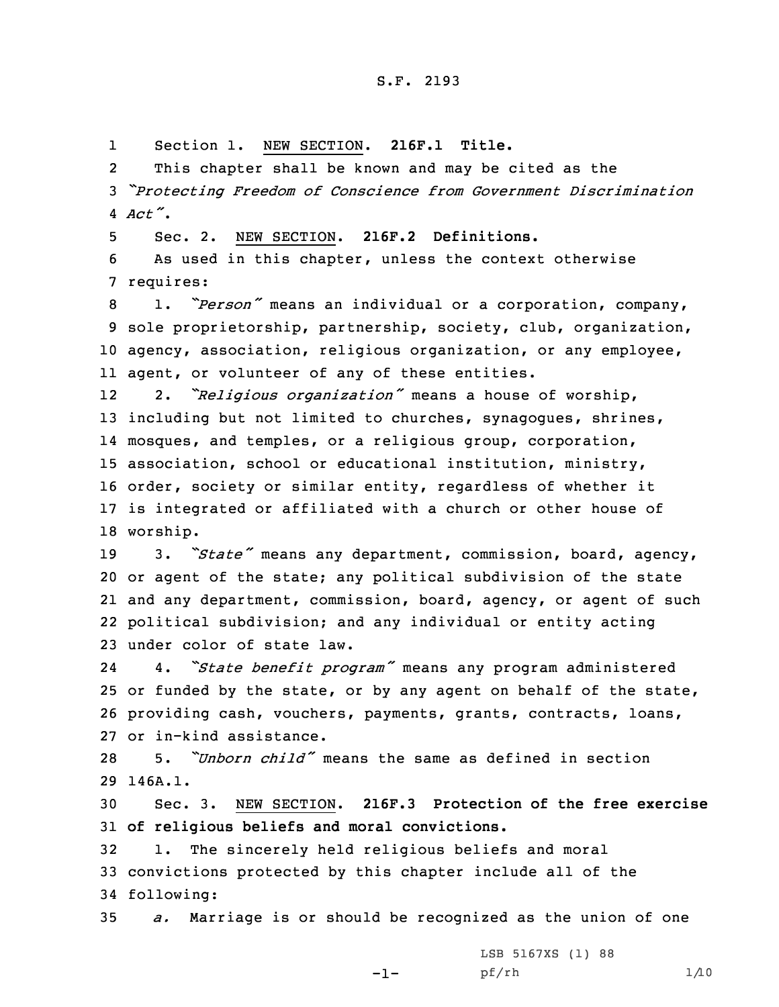1Section 1. NEW SECTION. **216F.1 Title.**

2 This chapter shall be known and may be cited as the <sup>3</sup> *"Protecting Freedom of Conscience from Government Discrimination* 4 *Act"*.

5 Sec. 2. NEW SECTION. **216F.2 Definitions.**

6 As used in this chapter, unless the context otherwise 7 requires:

 1. *"Person"* means an individual or <sup>a</sup> corporation, company, sole proprietorship, partnership, society, club, organization, agency, association, religious organization, or any employee, agent, or volunteer of any of these entities.

12 2. *"Religious organization"* means <sup>a</sup> house of worship, 13 including but not limited to churches, synagogues, shrines, 14 mosques, and temples, or <sup>a</sup> religious group, corporation, 15 association, school or educational institution, ministry, 16 order, society or similar entity, regardless of whether it 17 is integrated or affiliated with <sup>a</sup> church or other house of 18 worship.

 3. *"State"* means any department, commission, board, agency, or agent of the state; any political subdivision of the state and any department, commission, board, agency, or agent of such political subdivision; and any individual or entity acting under color of state law.

24 4. *"State benefit program"* means any program administered 25 or funded by the state, or by any agent on behalf of the state, 26 providing cash, vouchers, payments, grants, contracts, loans, 27 or in-kind assistance.

28 5. *"Unborn child"* means the same as defined in section 29 146A.1.

30 Sec. 3. NEW SECTION. **216F.3 Protection of the free exercise** 31 **of religious beliefs and moral convictions.**

32 1. The sincerely held religious beliefs and moral 33 convictions protected by this chapter include all of the 34 following:

35 *a.* Marriage is or should be recognized as the union of one

-1-

LSB 5167XS (1) 88 pf/rh 1/10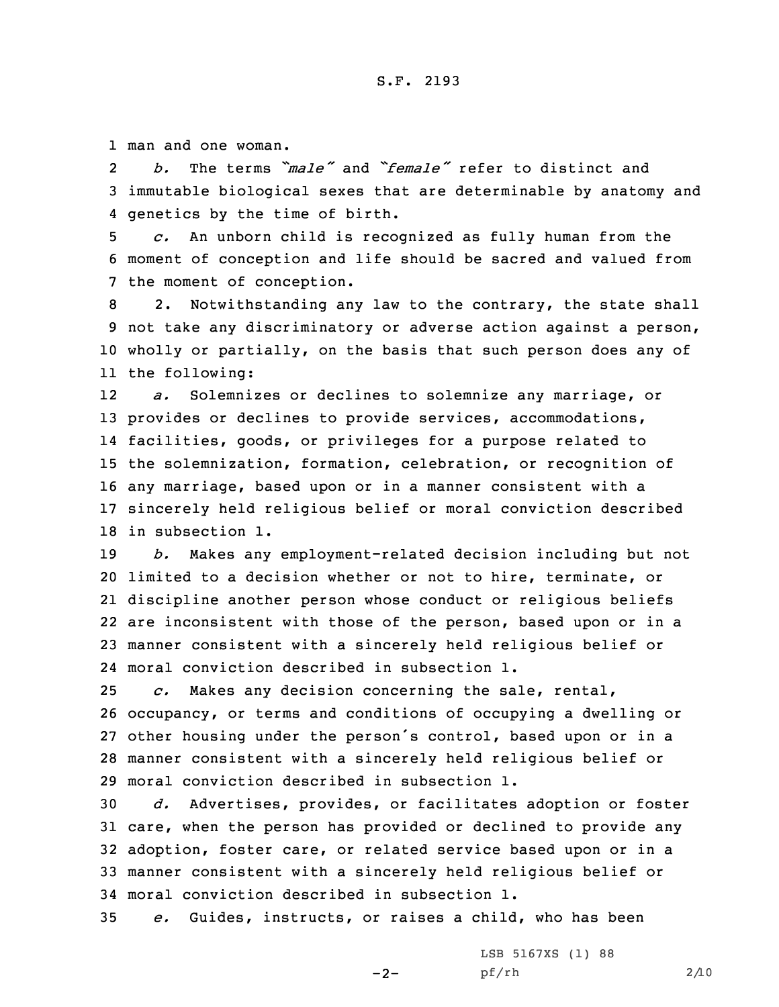1 man and one woman.

2 *b.* The terms *"male"* and *"female"* refer to distinct and 3 immutable biological sexes that are determinable by anatomy and 4 genetics by the time of birth.

5 *c.* An unborn child is recognized as fully human from the 6 moment of conception and life should be sacred and valued from 7 the moment of conception.

 2. Notwithstanding any law to the contrary, the state shall not take any discriminatory or adverse action against <sup>a</sup> person, wholly or partially, on the basis that such person does any of the following:

12 *a.* Solemnizes or declines to solemnize any marriage, or provides or declines to provide services, accommodations, facilities, goods, or privileges for <sup>a</sup> purpose related to the solemnization, formation, celebration, or recognition of any marriage, based upon or in <sup>a</sup> manner consistent with <sup>a</sup> sincerely held religious belief or moral conviction described in subsection 1.

 *b.* Makes any employment-related decision including but not limited to <sup>a</sup> decision whether or not to hire, terminate, or discipline another person whose conduct or religious beliefs are inconsistent with those of the person, based upon or in <sup>a</sup> manner consistent with <sup>a</sup> sincerely held religious belief or moral conviction described in subsection 1.

 *c.* Makes any decision concerning the sale, rental, occupancy, or terms and conditions of occupying <sup>a</sup> dwelling or other housing under the person's control, based upon or in <sup>a</sup> manner consistent with <sup>a</sup> sincerely held religious belief or moral conviction described in subsection 1.

 *d.* Advertises, provides, or facilitates adoption or foster care, when the person has provided or declined to provide any adoption, foster care, or related service based upon or in <sup>a</sup> manner consistent with <sup>a</sup> sincerely held religious belief or moral conviction described in subsection 1.

35 *e.* Guides, instructs, or raises <sup>a</sup> child, who has been

 $-2-$ 

LSB 5167XS (1) 88 pf/rh 2/10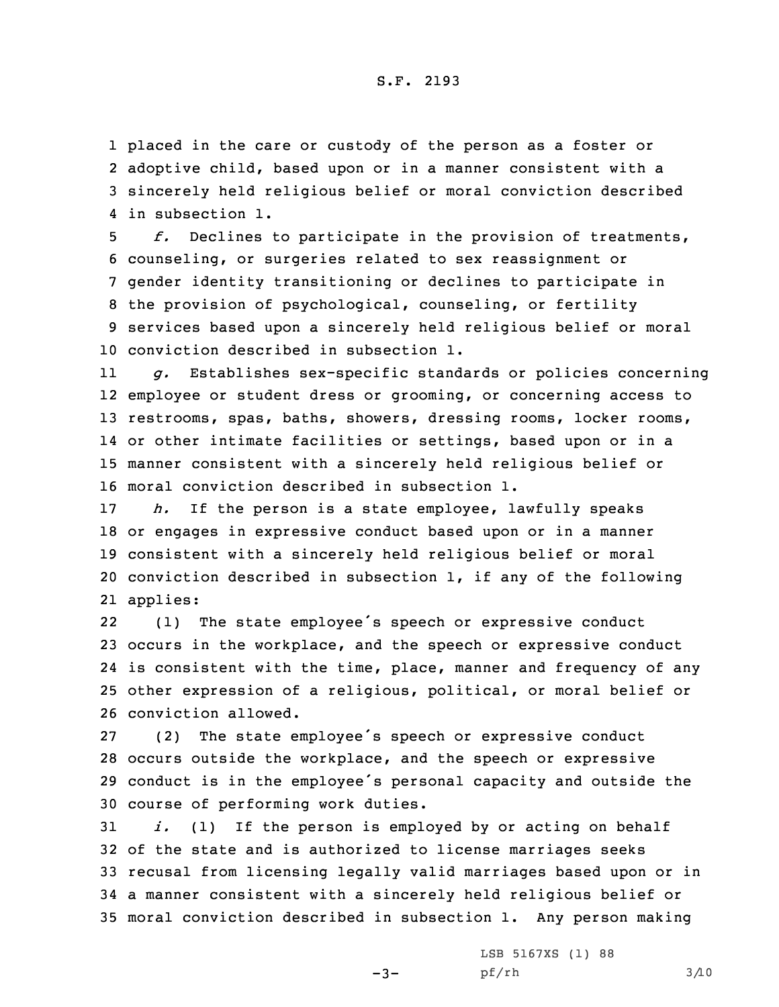## S.F. 2193

 placed in the care or custody of the person as <sup>a</sup> foster or adoptive child, based upon or in <sup>a</sup> manner consistent with <sup>a</sup> sincerely held religious belief or moral conviction described in subsection 1.

 *f.* Declines to participate in the provision of treatments, counseling, or surgeries related to sex reassignment or gender identity transitioning or declines to participate in the provision of psychological, counseling, or fertility services based upon <sup>a</sup> sincerely held religious belief or moral conviction described in subsection 1.

11 *g.* Establishes sex-specific standards or policies concerning employee or student dress or grooming, or concerning access to restrooms, spas, baths, showers, dressing rooms, locker rooms, or other intimate facilities or settings, based upon or in <sup>a</sup> manner consistent with <sup>a</sup> sincerely held religious belief or moral conviction described in subsection 1.

 *h.* If the person is <sup>a</sup> state employee, lawfully speaks or engages in expressive conduct based upon or in <sup>a</sup> manner consistent with <sup>a</sup> sincerely held religious belief or moral conviction described in subsection 1, if any of the following 21 applies:

22 (1) The state employee's speech or expressive conduct occurs in the workplace, and the speech or expressive conduct is consistent with the time, place, manner and frequency of any other expression of <sup>a</sup> religious, political, or moral belief or conviction allowed.

 (2) The state employee's speech or expressive conduct occurs outside the workplace, and the speech or expressive conduct is in the employee's personal capacity and outside the course of performing work duties.

 *i.* (1) If the person is employed by or acting on behalf of the state and is authorized to license marriages seeks recusal from licensing legally valid marriages based upon or in <sup>a</sup> manner consistent with <sup>a</sup> sincerely held religious belief or moral conviction described in subsection 1. Any person making

 $-3-$ 

LSB 5167XS (1) 88 pf/rh 3/10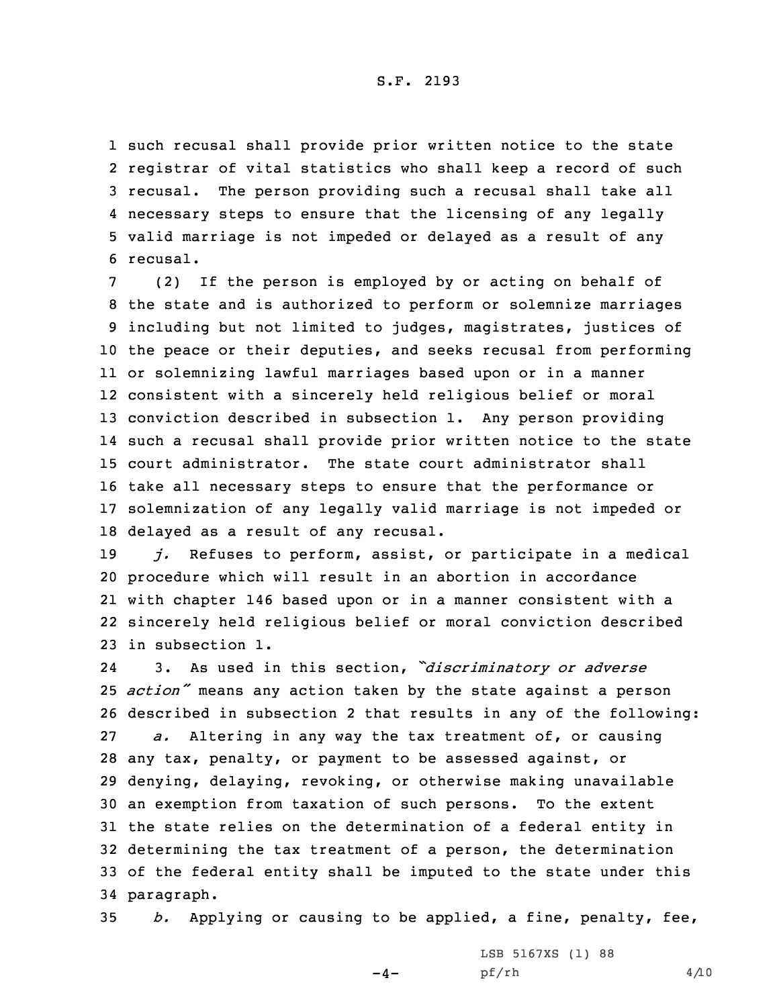## S.F. 2193

 such recusal shall provide prior written notice to the state registrar of vital statistics who shall keep <sup>a</sup> record of such recusal. The person providing such <sup>a</sup> recusal shall take all necessary steps to ensure that the licensing of any legally valid marriage is not impeded or delayed as <sup>a</sup> result of any 6 recusal.

 (2) If the person is employed by or acting on behalf of the state and is authorized to perform or solemnize marriages including but not limited to judges, magistrates, justices of the peace or their deputies, and seeks recusal from performing or solemnizing lawful marriages based upon or in <sup>a</sup> manner consistent with <sup>a</sup> sincerely held religious belief or moral conviction described in subsection 1. Any person providing such <sup>a</sup> recusal shall provide prior written notice to the state court administrator. The state court administrator shall take all necessary steps to ensure that the performance or solemnization of any legally valid marriage is not impeded or delayed as <sup>a</sup> result of any recusal.

 *j.* Refuses to perform, assist, or participate in <sup>a</sup> medical procedure which will result in an abortion in accordance with chapter 146 based upon or in <sup>a</sup> manner consistent with <sup>a</sup> sincerely held religious belief or moral conviction described in subsection 1.

24 3. As used in this section, *"discriminatory or adverse action"* means any action taken by the state against <sup>a</sup> person described in subsection 2 that results in any of the following: *a.* Altering in any way the tax treatment of, or causing any tax, penalty, or payment to be assessed against, or denying, delaying, revoking, or otherwise making unavailable an exemption from taxation of such persons. To the extent the state relies on the determination of <sup>a</sup> federal entity in determining the tax treatment of <sup>a</sup> person, the determination of the federal entity shall be imputed to the state under this paragraph.

35 *b.* Applying or causing to be applied, <sup>a</sup> fine, penalty, fee,

 $-4-$ 

LSB 5167XS (1) 88 pf/rh 4/10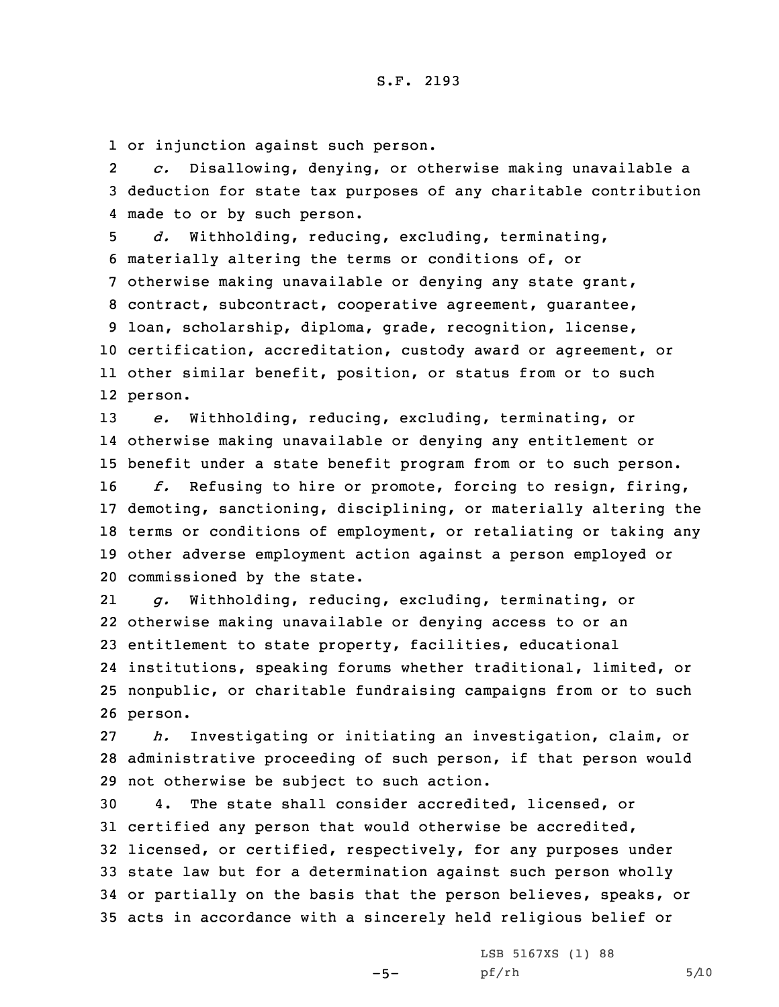1 or injunction against such person.

2 *c.* Disallowing, denying, or otherwise making unavailable <sup>a</sup> 3 deduction for state tax purposes of any charitable contribution 4 made to or by such person.

 *d.* Withholding, reducing, excluding, terminating, materially altering the terms or conditions of, or otherwise making unavailable or denying any state grant, contract, subcontract, cooperative agreement, guarantee, loan, scholarship, diploma, grade, recognition, license, certification, accreditation, custody award or agreement, or other similar benefit, position, or status from or to such 12 person.

 *e.* Withholding, reducing, excluding, terminating, or otherwise making unavailable or denying any entitlement or benefit under <sup>a</sup> state benefit program from or to such person. *f.* Refusing to hire or promote, forcing to resign, firing,

 demoting, sanctioning, disciplining, or materially altering the terms or conditions of employment, or retaliating or taking any other adverse employment action against <sup>a</sup> person employed or commissioned by the state.

21 *g.* Withholding, reducing, excluding, terminating, or 22 otherwise making unavailable or denying access to or an 23 entitlement to state property, facilities, educational 24 institutions, speaking forums whether traditional, limited, or 25 nonpublic, or charitable fundraising campaigns from or to such 26 person.

27 *h.* Investigating or initiating an investigation, claim, or 28 administrative proceeding of such person, if that person would 29 not otherwise be subject to such action.

 4. The state shall consider accredited, licensed, or certified any person that would otherwise be accredited, licensed, or certified, respectively, for any purposes under state law but for <sup>a</sup> determination against such person wholly or partially on the basis that the person believes, speaks, or acts in accordance with <sup>a</sup> sincerely held religious belief or

 $-5-$ 

LSB 5167XS (1) 88  $pf/rh$  5/10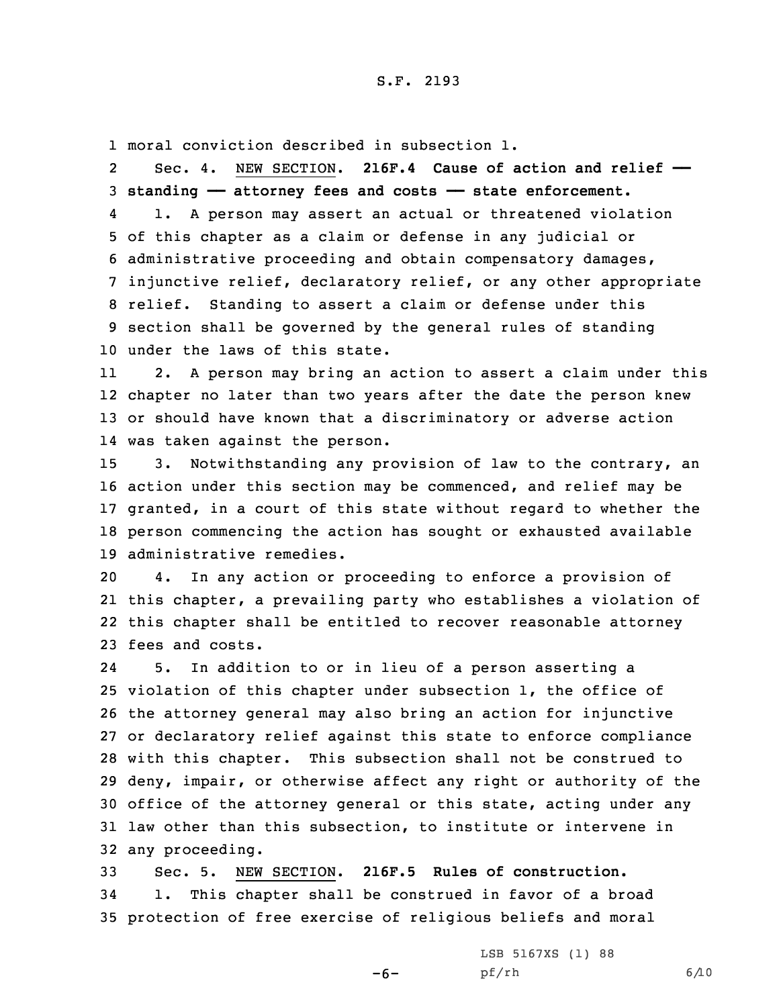1 moral conviction described in subsection 1.

2 Sec. 4. NEW SECTION. **216F.4 Cause of action and relief —— standing —— attorney fees and costs —— state enforcement.** 4 1. <sup>A</sup> person may assert an actual or threatened violation of this chapter as <sup>a</sup> claim or defense in any judicial or administrative proceeding and obtain compensatory damages, injunctive relief, declaratory relief, or any other appropriate relief. Standing to assert <sup>a</sup> claim or defense under this section shall be governed by the general rules of standing under the laws of this state.

11 2. <sup>A</sup> person may bring an action to assert <sup>a</sup> claim under this 12 chapter no later than two years after the date the person knew 13 or should have known that <sup>a</sup> discriminatory or adverse action 14 was taken against the person.

 3. Notwithstanding any provision of law to the contrary, an action under this section may be commenced, and relief may be granted, in <sup>a</sup> court of this state without regard to whether the person commencing the action has sought or exhausted available administrative remedies.

 4. In any action or proceeding to enforce <sup>a</sup> provision of this chapter, <sup>a</sup> prevailing party who establishes <sup>a</sup> violation of this chapter shall be entitled to recover reasonable attorney fees and costs.

24 5. In addition to or in lieu of <sup>a</sup> person asserting <sup>a</sup> violation of this chapter under subsection 1, the office of the attorney general may also bring an action for injunctive or declaratory relief against this state to enforce compliance with this chapter. This subsection shall not be construed to deny, impair, or otherwise affect any right or authority of the office of the attorney general or this state, acting under any law other than this subsection, to institute or intervene in any proceeding.

33 Sec. 5. NEW SECTION. **216F.5 Rules of construction.** 34 1. This chapter shall be construed in favor of <sup>a</sup> broad 35 protection of free exercise of religious beliefs and moral

 $-6-$ 

LSB 5167XS (1) 88 pf/rh 6/10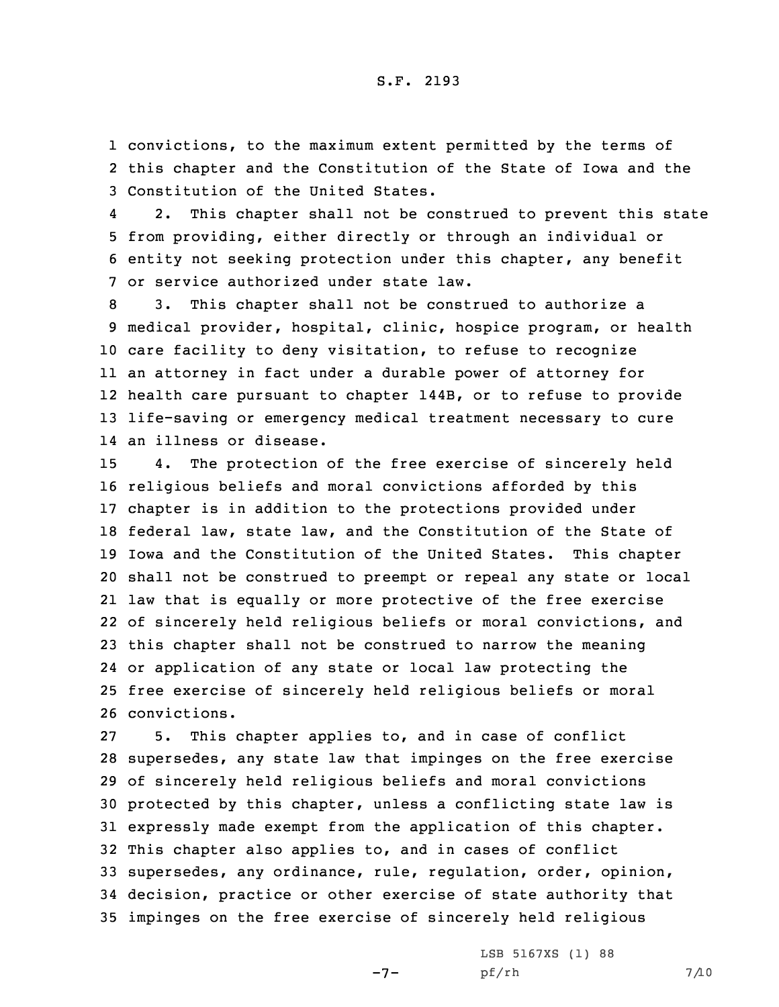1 convictions, to the maximum extent permitted by the terms of 2 this chapter and the Constitution of the State of Iowa and the 3 Constitution of the United States.

4 2. This chapter shall not be construed to prevent this state 5 from providing, either directly or through an individual or 6 entity not seeking protection under this chapter, any benefit 7 or service authorized under state law.

 3. This chapter shall not be construed to authorize <sup>a</sup> medical provider, hospital, clinic, hospice program, or health care facility to deny visitation, to refuse to recognize an attorney in fact under <sup>a</sup> durable power of attorney for health care pursuant to chapter 144B, or to refuse to provide life-saving or emergency medical treatment necessary to cure an illness or disease.

 4. The protection of the free exercise of sincerely held religious beliefs and moral convictions afforded by this chapter is in addition to the protections provided under federal law, state law, and the Constitution of the State of Iowa and the Constitution of the United States. This chapter shall not be construed to preempt or repeal any state or local law that is equally or more protective of the free exercise of sincerely held religious beliefs or moral convictions, and this chapter shall not be construed to narrow the meaning or application of any state or local law protecting the free exercise of sincerely held religious beliefs or moral convictions.

 5. This chapter applies to, and in case of conflict supersedes, any state law that impinges on the free exercise of sincerely held religious beliefs and moral convictions protected by this chapter, unless <sup>a</sup> conflicting state law is expressly made exempt from the application of this chapter. This chapter also applies to, and in cases of conflict supersedes, any ordinance, rule, regulation, order, opinion, decision, practice or other exercise of state authority that impinges on the free exercise of sincerely held religious

 $-7-$ 

LSB 5167XS (1) 88 pf/rh 7/10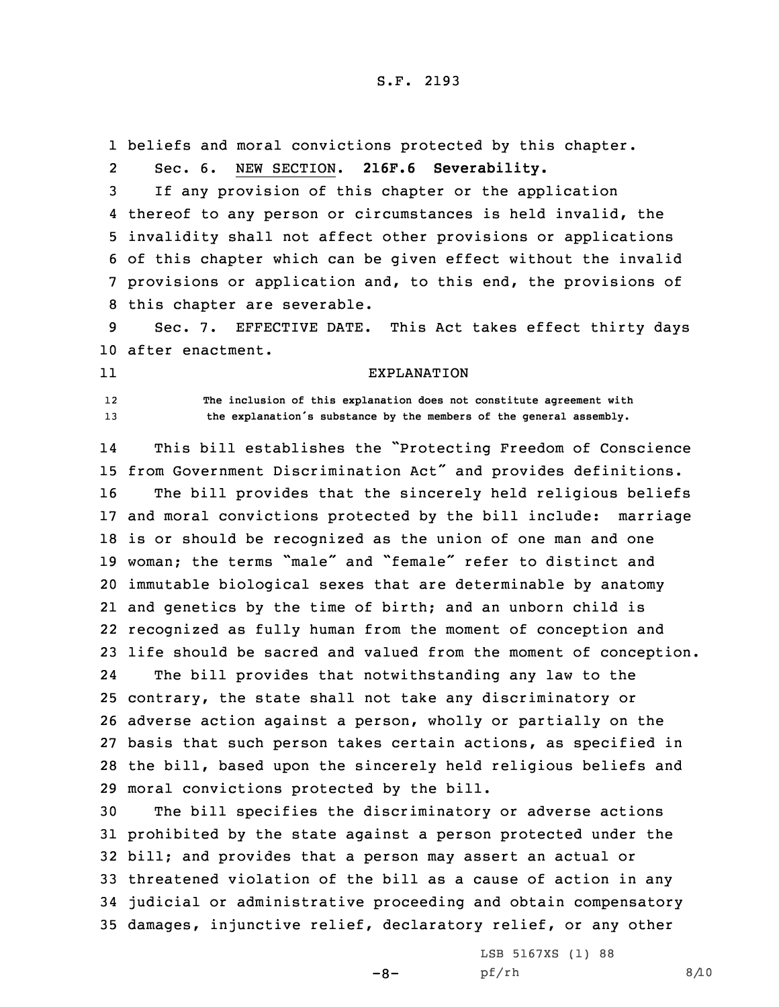1 beliefs and moral convictions protected by this chapter.

2Sec. 6. NEW SECTION. **216F.6 Severability.**

 If any provision of this chapter or the application thereof to any person or circumstances is held invalid, the invalidity shall not affect other provisions or applications of this chapter which can be given effect without the invalid provisions or application and, to this end, the provisions of this chapter are severable.

9 Sec. 7. EFFECTIVE DATE. This Act takes effect thirty days 10 after enactment.

11

12

 **The inclusion of this explanation does not constitute agreement with** <sup>13</sup> **the explanation's substance by the members of the general assembly.**

EXPLANATION

14 This bill establishes the "Protecting Freedom of Conscience from Government Discrimination Act" and provides definitions. The bill provides that the sincerely held religious beliefs and moral convictions protected by the bill include: marriage is or should be recognized as the union of one man and one woman; the terms "male" and "female" refer to distinct and immutable biological sexes that are determinable by anatomy and genetics by the time of birth; and an unborn child is recognized as fully human from the moment of conception and life should be sacred and valued from the moment of conception. 24 The bill provides that notwithstanding any law to the contrary, the state shall not take any discriminatory or adverse action against <sup>a</sup> person, wholly or partially on the basis that such person takes certain actions, as specified in the bill, based upon the sincerely held religious beliefs and

29 moral convictions protected by the bill.

 The bill specifies the discriminatory or adverse actions prohibited by the state against <sup>a</sup> person protected under the bill; and provides that <sup>a</sup> person may assert an actual or threatened violation of the bill as <sup>a</sup> cause of action in any judicial or administrative proceeding and obtain compensatory damages, injunctive relief, declaratory relief, or any other

 $-8-$ 

LSB 5167XS (1) 88 pf/rh 8/10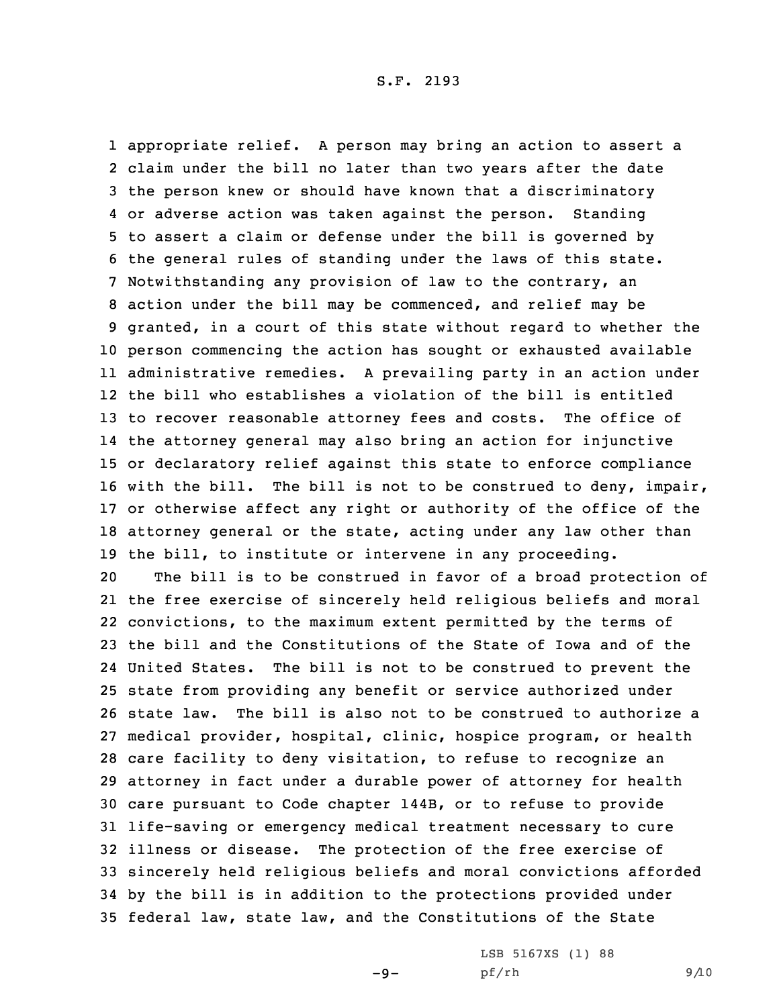appropriate relief. <sup>A</sup> person may bring an action to assert <sup>a</sup> claim under the bill no later than two years after the date the person knew or should have known that <sup>a</sup> discriminatory or adverse action was taken against the person. Standing to assert <sup>a</sup> claim or defense under the bill is governed by the general rules of standing under the laws of this state. Notwithstanding any provision of law to the contrary, an action under the bill may be commenced, and relief may be granted, in <sup>a</sup> court of this state without regard to whether the person commencing the action has sought or exhausted available administrative remedies. <sup>A</sup> prevailing party in an action under the bill who establishes <sup>a</sup> violation of the bill is entitled to recover reasonable attorney fees and costs. The office of the attorney general may also bring an action for injunctive or declaratory relief against this state to enforce compliance with the bill. The bill is not to be construed to deny, impair, or otherwise affect any right or authority of the office of the attorney general or the state, acting under any law other than the bill, to institute or intervene in any proceeding.

 The bill is to be construed in favor of <sup>a</sup> broad protection of the free exercise of sincerely held religious beliefs and moral convictions, to the maximum extent permitted by the terms of the bill and the Constitutions of the State of Iowa and of the United States. The bill is not to be construed to prevent the state from providing any benefit or service authorized under state law. The bill is also not to be construed to authorize <sup>a</sup> medical provider, hospital, clinic, hospice program, or health care facility to deny visitation, to refuse to recognize an attorney in fact under <sup>a</sup> durable power of attorney for health care pursuant to Code chapter 144B, or to refuse to provide life-saving or emergency medical treatment necessary to cure illness or disease. The protection of the free exercise of sincerely held religious beliefs and moral convictions afforded by the bill is in addition to the protections provided under federal law, state law, and the Constitutions of the State

 $-9-$ 

LSB 5167XS (1) 88 pf/rh 9/10